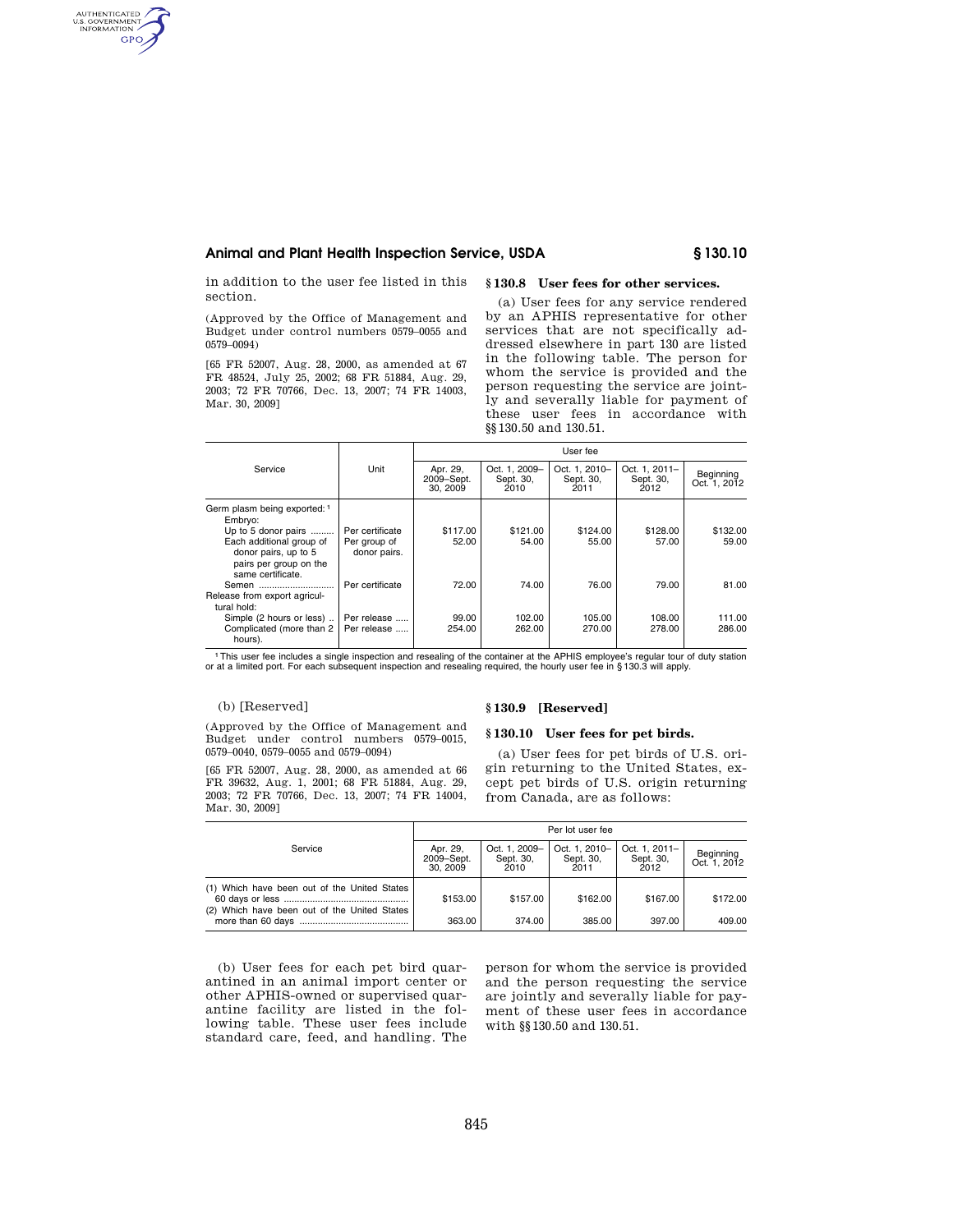# **Animal and Plant Health Inspection Service, USDA § 130.10**

in addition to the user fee listed in this section.

AUTHENTICATED **GPO** 

> (Approved by the Office of Management and Budget under control numbers 0579–0055 and 0579–0094)

> [65 FR 52007, Aug. 28, 2000, as amended at 67 FR 48524, July 25, 2002; 68 FR 51884, Aug. 29, 2003; 72 FR 70766, Dec. 13, 2007; 74 FR 14003, Mar. 30, 2009]

## **§ 130.8 User fees for other services.**

(a) User fees for any service rendered by an APHIS representative for other services that are not specifically addressed elsewhere in part 130 are listed in the following table. The person for whom the service is provided and the person requesting the service are jointly and severally liable for payment of these user fees in accordance with §§130.50 and 130.51.

|                                                                                                                                                                   |                                                 | User fee                          |                                    |                                    |                                    |                           |  |
|-------------------------------------------------------------------------------------------------------------------------------------------------------------------|-------------------------------------------------|-----------------------------------|------------------------------------|------------------------------------|------------------------------------|---------------------------|--|
| Service                                                                                                                                                           | Unit                                            | Apr. 29,<br>2009-Sept.<br>30.2009 | Oct. 1. 2009-<br>Sept. 30,<br>2010 | Oct. 1. 2010-<br>Sept. 30.<br>2011 | Oct. 1. 2011-<br>Sept. 30.<br>2012 | Beginning<br>Oct. 1, 2012 |  |
| Germ plasm being exported: 1<br>Embryo:<br>Up to 5 donor pairs<br>Each additional group of<br>donor pairs, up to 5<br>pairs per group on the<br>same certificate. | Per certificate<br>Per group of<br>donor pairs. | \$117.00<br>52.00                 | \$121.00<br>54.00                  | \$124.00<br>55.00                  | \$128.00<br>57.00                  | \$132.00<br>59.00         |  |
| Semen<br>Release from export agricul-<br>tural hold:                                                                                                              | Per certificate                                 | 72.00                             | 74.00                              | 76.00                              | 79.00                              | 81.00                     |  |
| Simple (2 hours or less)<br>Complicated (more than 2)<br>hours).                                                                                                  | Per release<br>Per release                      | 99.00<br>254.00                   | 102.00<br>262.00                   | 105.00<br>270.00                   | 108.00<br>278.00                   | 111.00<br>286.00          |  |

<sup>1</sup>This user fee includes a single inspection and resealing of the container at the APHIS employee's regular tour of duty station<br>or at a limited port. For each subsequent inspection and resealing required, the hourly user

## (b) [Reserved]

(Approved by the Office of Management and Budget under control numbers 0579–0015, 0579–0040, 0579–0055 and 0579–0094)

[65 FR 52007, Aug. 28, 2000, as amended at 66 FR 39632, Aug. 1, 2001; 68 FR 51884, Aug. 29, 2003; 72 FR 70766, Dec. 13, 2007; 74 FR 14004, Mar. 30, 2009]

#### **§ 130.9 [Reserved]**

### **§ 130.10 User fees for pet birds.**

(a) User fees for pet birds of U.S. origin returning to the United States, except pet birds of U.S. origin returning from Canada, are as follows:

|                                                                                              | Per lot user fee                  |                                    |                                    |                                    |                           |  |
|----------------------------------------------------------------------------------------------|-----------------------------------|------------------------------------|------------------------------------|------------------------------------|---------------------------|--|
| Service                                                                                      | Apr. 29,<br>2009-Sept.<br>30.2009 | Oct. 1. 2009-<br>Sept. 30,<br>2010 | Oct. 1, 2010-<br>Sept. 30,<br>2011 | Oct. 1, 2011-<br>Sept. 30,<br>2012 | Beginning<br>Oct. 1, 2012 |  |
| (1) Which have been out of the United States<br>(2) Which have been out of the United States | \$153.00                          | \$157.00                           | \$162.00                           | \$167.00                           | \$172.00                  |  |
|                                                                                              | 363.00                            | 374.00                             | 385.00                             | 397.00                             | 409.00                    |  |

(b) User fees for each pet bird quarantined in an animal import center or other APHIS-owned or supervised quarantine facility are listed in the following table. These user fees include standard care, feed, and handling. The

person for whom the service is provided and the person requesting the service are jointly and severally liable for payment of these user fees in accordance with §§130.50 and 130.51.